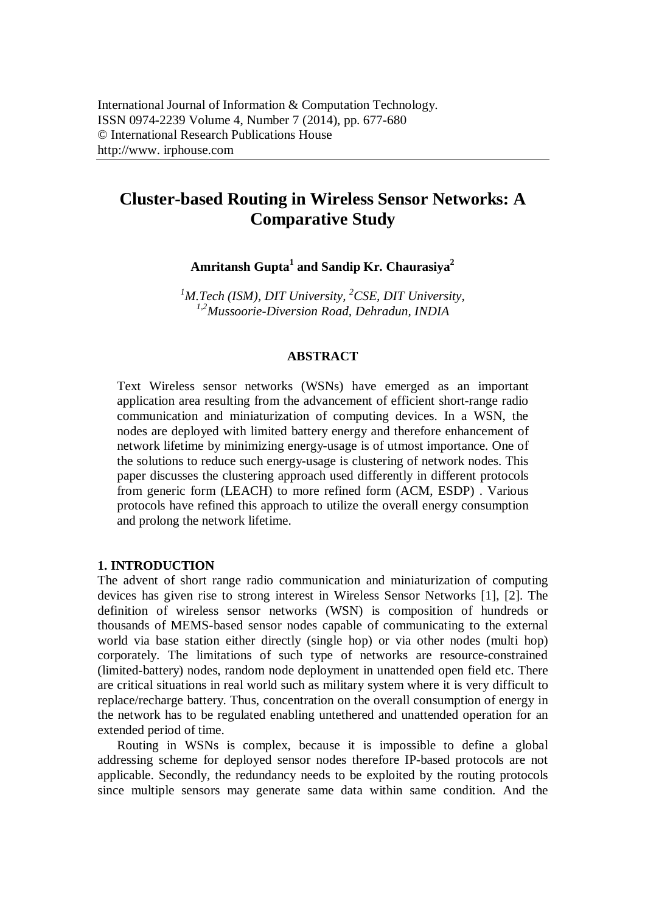# **Cluster-based Routing in Wireless Sensor Networks: A Comparative Study**

**Amritansh Gupta<sup>1</sup> and Sandip Kr. Chaurasiya<sup>2</sup>**

*<sup>1</sup>M.Tech (ISM), DIT University, <sup>2</sup>CSE, DIT University, 1,2Mussoorie-Diversion Road, Dehradun, INDIA*

## **ABSTRACT**

Text Wireless sensor networks (WSNs) have emerged as an important application area resulting from the advancement of efficient short-range radio communication and miniaturization of computing devices. In a WSN, the nodes are deployed with limited battery energy and therefore enhancement of network lifetime by minimizing energy-usage is of utmost importance. One of the solutions to reduce such energy-usage is clustering of network nodes. This paper discusses the clustering approach used differently in different protocols from generic form (LEACH) to more refined form (ACM, ESDP) . Various protocols have refined this approach to utilize the overall energy consumption and prolong the network lifetime.

# **1. INTRODUCTION**

The advent of short range radio communication and miniaturization of computing devices has given rise to strong interest in Wireless Sensor Networks [1], [2]. The definition of wireless sensor networks (WSN) is composition of hundreds or thousands of MEMS-based sensor nodes capable of communicating to the external world via base station either directly (single hop) or via other nodes (multi hop) corporately. The limitations of such type of networks are resource-constrained (limited-battery) nodes, random node deployment in unattended open field etc. There are critical situations in real world such as military system where it is very difficult to replace/recharge battery. Thus, concentration on the overall consumption of energy in the network has to be regulated enabling untethered and unattended operation for an extended period of time.

Routing in WSNs is complex, because it is impossible to define a global addressing scheme for deployed sensor nodes therefore IP-based protocols are not applicable. Secondly, the redundancy needs to be exploited by the routing protocols since multiple sensors may generate same data within same condition. And the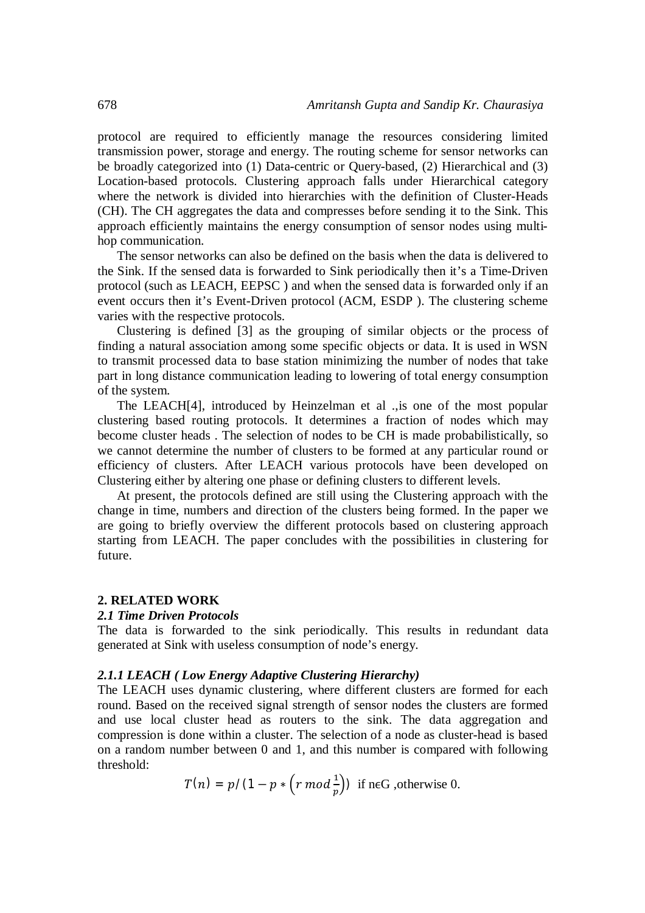protocol are required to efficiently manage the resources considering limited transmission power, storage and energy. The routing scheme for sensor networks can be broadly categorized into (1) Data-centric or Query-based, (2) Hierarchical and (3) Location-based protocols. Clustering approach falls under Hierarchical category where the network is divided into hierarchies with the definition of Cluster-Heads (CH). The CH aggregates the data and compresses before sending it to the Sink. This approach efficiently maintains the energy consumption of sensor nodes using multihop communication.

The sensor networks can also be defined on the basis when the data is delivered to the Sink. If the sensed data is forwarded to Sink periodically then it's a Time-Driven protocol (such as LEACH, EEPSC ) and when the sensed data is forwarded only if an event occurs then it's Event-Driven protocol (ACM, ESDP ). The clustering scheme varies with the respective protocols.

Clustering is defined [3] as the grouping of similar objects or the process of finding a natural association among some specific objects or data. It is used in WSN to transmit processed data to base station minimizing the number of nodes that take part in long distance communication leading to lowering of total energy consumption of the system.

The LEACH[4], introduced by Heinzelman et al .,is one of the most popular clustering based routing protocols. It determines a fraction of nodes which may become cluster heads . The selection of nodes to be CH is made probabilistically, so we cannot determine the number of clusters to be formed at any particular round or efficiency of clusters. After LEACH various protocols have been developed on Clustering either by altering one phase or defining clusters to different levels.

At present, the protocols defined are still using the Clustering approach with the change in time, numbers and direction of the clusters being formed. In the paper we are going to briefly overview the different protocols based on clustering approach starting from LEACH. The paper concludes with the possibilities in clustering for future.

## **2. RELATED WORK**

#### *2.1 Time Driven Protocols*

The data is forwarded to the sink periodically. This results in redundant data generated at Sink with useless consumption of node's energy.

### *2.1.1 LEACH ( Low Energy Adaptive Clustering Hierarchy)*

The LEACH uses dynamic clustering, where different clusters are formed for each round. Based on the received signal strength of sensor nodes the clusters are formed and use local cluster head as routers to the sink. The data aggregation and compression is done within a cluster. The selection of a node as cluster-head is based on a random number between 0 and 1, and this number is compared with following threshold: ଵ

$$
T(n) = p/(1 - p * (r \mod \frac{1}{p}))
$$
 if n \in G, otherwise 0.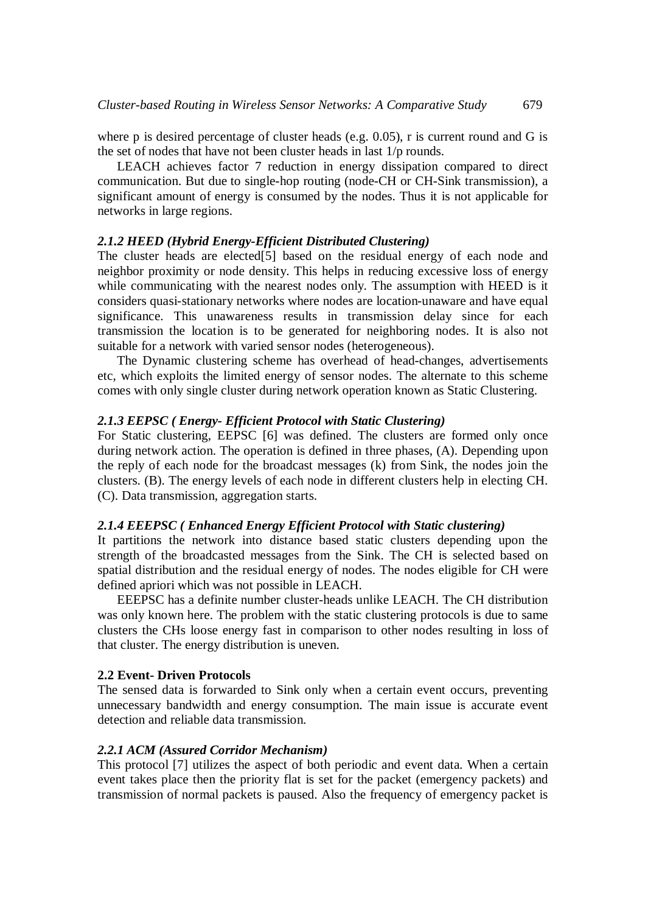where p is desired percentage of cluster heads (e.g. 0.05), r is current round and G is the set of nodes that have not been cluster heads in last 1/p rounds.

LEACH achieves factor 7 reduction in energy dissipation compared to direct communication. But due to single-hop routing (node-CH or CH-Sink transmission), a significant amount of energy is consumed by the nodes. Thus it is not applicable for networks in large regions.

# *2.1.2 HEED (Hybrid Energy-Efficient Distributed Clustering)*

The cluster heads are elected[5] based on the residual energy of each node and neighbor proximity or node density. This helps in reducing excessive loss of energy while communicating with the nearest nodes only. The assumption with HEED is it considers quasi-stationary networks where nodes are location-unaware and have equal significance. This unawareness results in transmission delay since for each transmission the location is to be generated for neighboring nodes. It is also not suitable for a network with varied sensor nodes (heterogeneous).

The Dynamic clustering scheme has overhead of head-changes, advertisements etc, which exploits the limited energy of sensor nodes. The alternate to this scheme comes with only single cluster during network operation known as Static Clustering.

# *2.1.3 EEPSC ( Energy- Efficient Protocol with Static Clustering)*

For Static clustering, EEPSC [6] was defined. The clusters are formed only once during network action. The operation is defined in three phases, (A). Depending upon the reply of each node for the broadcast messages (k) from Sink, the nodes join the clusters. (B). The energy levels of each node in different clusters help in electing CH. (C). Data transmission, aggregation starts.

## *2.1.4 EEEPSC ( Enhanced Energy Efficient Protocol with Static clustering)*

It partitions the network into distance based static clusters depending upon the strength of the broadcasted messages from the Sink. The CH is selected based on spatial distribution and the residual energy of nodes. The nodes eligible for CH were defined apriori which was not possible in LEACH.

EEEPSC has a definite number cluster-heads unlike LEACH. The CH distribution was only known here. The problem with the static clustering protocols is due to same clusters the CHs loose energy fast in comparison to other nodes resulting in loss of that cluster. The energy distribution is uneven.

## **2.2 Event- Driven Protocols**

The sensed data is forwarded to Sink only when a certain event occurs, preventing unnecessary bandwidth and energy consumption. The main issue is accurate event detection and reliable data transmission.

## *2.2.1 ACM (Assured Corridor Mechanism)*

This protocol [7] utilizes the aspect of both periodic and event data. When a certain event takes place then the priority flat is set for the packet (emergency packets) and transmission of normal packets is paused. Also the frequency of emergency packet is